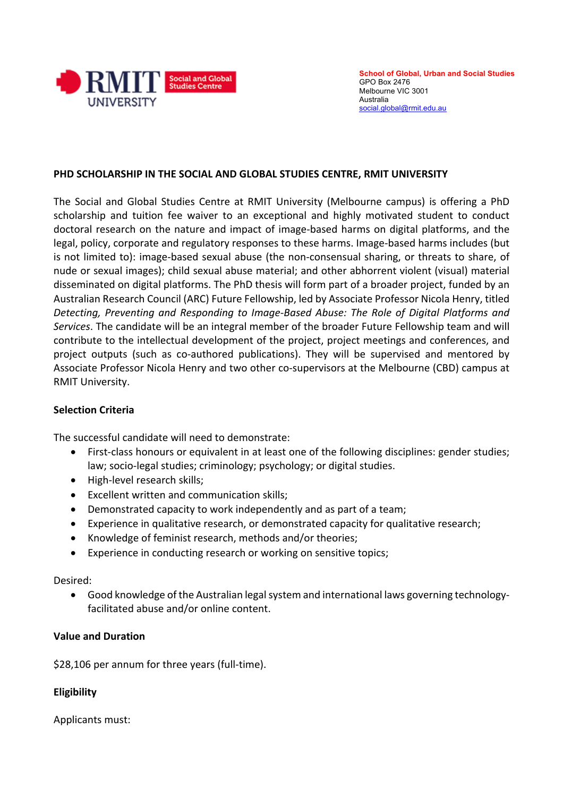

**School of Global, Urban and Social Studies** GPO Box 2476 Melbourne VIC 3001 Australia social.global@rmit.edu.au

# **PHD SCHOLARSHIP IN THE SOCIAL AND GLOBAL STUDIES CENTRE, RMIT UNIVERSITY**

The Social and Global Studies Centre at RMIT University (Melbourne campus) is offering a PhD scholarship and tuition fee waiver to an exceptional and highly motivated student to conduct doctoral research on the nature and impact of image-based harms on digital platforms, and the legal, policy, corporate and regulatory responses to these harms. Image-based harms includes (but is not limited to): image-based sexual abuse (the non-consensual sharing, or threats to share, of nude or sexual images); child sexual abuse material; and other abhorrent violent (visual) material disseminated on digital platforms. The PhD thesis will form part of a broader project, funded by an Australian Research Council (ARC) Future Fellowship, led by Associate Professor Nicola Henry, titled *Detecting, Preventing and Responding to Image-Based Abuse: The Role of Digital Platforms and Services*. The candidate will be an integral member of the broader Future Fellowship team and will contribute to the intellectual development of the project, project meetings and conferences, and project outputs (such as co-authored publications). They will be supervised and mentored by Associate Professor Nicola Henry and two other co-supervisors at the Melbourne (CBD) campus at RMIT University.

## **Selection Criteria**

The successful candidate will need to demonstrate:

- First-class honours or equivalent in at least one of the following disciplines: gender studies; law; socio-legal studies; criminology; psychology; or digital studies.
- High-level research skills;
- Excellent written and communication skills;
- Demonstrated capacity to work independently and as part of a team;
- Experience in qualitative research, or demonstrated capacity for qualitative research;
- Knowledge of feminist research, methods and/or theories;
- Experience in conducting research or working on sensitive topics;

Desired:

• Good knowledge of the Australian legal system and international laws governing technologyfacilitated abuse and/or online content.

## **Value and Duration**

\$28,106 per annum for three years (full-time).

## **Eligibility**

Applicants must: